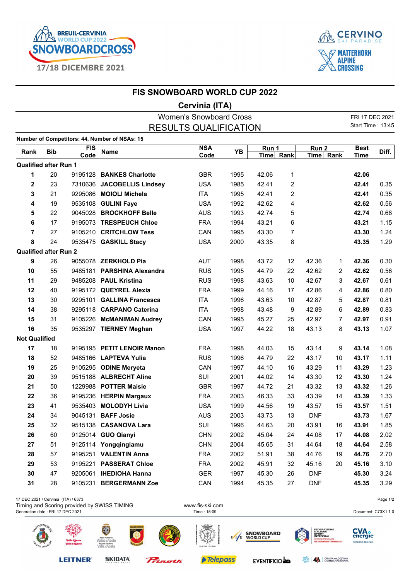



## Cervinia (ITA)

| <b>Women's Snowboard Cross</b>      |                              |             |                                               |                 |       |           |                  |            | FRI 17 DEC 2021 |                          |          |
|-------------------------------------|------------------------------|-------------|-----------------------------------------------|-----------------|-------|-----------|------------------|------------|-----------------|--------------------------|----------|
| <b>RESULTS QUALIFICATION</b>        |                              |             |                                               |                 |       |           |                  |            |                 | <b>Start Time: 13:45</b> |          |
|                                     |                              |             | Number of Competitors: 44, Number of NSAs: 15 |                 |       |           |                  |            |                 |                          |          |
| FIS<br><b>Bib</b><br>Rank           |                              | <b>Name</b> | <b>NSA</b>                                    | YB              | Run 1 |           | Run <sub>2</sub> |            | <b>Best</b>     | Diff.                    |          |
|                                     |                              | Code        |                                               | Code            |       | Time Rank |                  |            | Time Rank       |                          |          |
|                                     | <b>Qualified after Run 1</b> |             |                                               |                 |       |           |                  |            |                 |                          |          |
| 1                                   | 20                           |             | 9195128 BANKES Charlotte                      | <b>GBR</b>      | 1995  | 42.06     | 1                |            |                 | 42.06                    |          |
| $\boldsymbol{2}$                    | 23                           |             | 7310636 JACOBELLIS Lindsey                    | <b>USA</b>      | 1985  | 42.41     | 2                |            |                 | 42.41                    | 0.35     |
| 3                                   | 21                           |             | 9295086 MOIOLI Michela                        | ITA             | 1995  | 42.41     | 2                |            |                 | 42.41                    | 0.35     |
| 4                                   | 19                           |             | 9535108 GULINI Faye                           | <b>USA</b>      | 1992  | 42.62     | 4                |            |                 | 42.62                    | 0.56     |
| 5                                   | 22                           |             | 9045028 BROCKHOFF Belle                       | <b>AUS</b>      | 1993  | 42.74     | 5                |            |                 | 42.74                    | 0.68     |
| $6\phantom{1}6$                     | 17                           |             | 9195073 TRESPEUCH Chloe                       | <b>FRA</b>      | 1994  | 43.21     | 6                |            |                 | 43.21                    | 1.15     |
| $\overline{7}$                      | 27                           |             | 9105210 CRITCHLOW Tess                        | CAN             | 1995  | 43.30     | $\overline{7}$   |            |                 | 43.30                    | 1.24     |
| 8                                   | 24                           |             | 9535475 GASKILL Stacy                         | <b>USA</b>      | 2000  | 43.35     | 8                |            |                 | 43.35                    | 1.29     |
|                                     | <b>Qualified after Run 2</b> |             |                                               |                 |       |           |                  |            |                 |                          |          |
| 9                                   | 26                           |             | 9055078 ZERKHOLD Pia                          | AUT             | 1998  | 43.72     | 12               | 42.36      | $\mathbf{1}$    | 42.36                    | 0.30     |
| 10                                  | 55                           |             | 9485181 PARSHINA Alexandra                    | <b>RUS</b>      | 1995  | 44.79     | 22               | 42.62      | 2               | 42.62                    | 0.56     |
| 11                                  | 29                           |             | 9485208 PAUL Kristina                         | <b>RUS</b>      | 1998  | 43.63     | 10               | 42.67      | 3               | 42.67                    | 0.61     |
| 12                                  | 40                           |             | 9195172 QUEYREL Alexia                        | <b>FRA</b>      | 1999  | 44.16     | 17               | 42.86      | 4               | 42.86                    | 0.80     |
| 13                                  | 30                           |             | 9295101 GALLINA Francesca                     | <b>ITA</b>      | 1996  | 43.63     | 10               | 42.87      | 5               | 42.87                    | 0.81     |
| 14                                  | 38                           |             | 9295118 CARPANO Caterina                      | <b>ITA</b>      | 1998  | 43.48     | 9                | 42.89      | 6               | 42.89                    | 0.83     |
| 15                                  | 31                           |             | 9105226 McMANIMAN Audrey                      | CAN             | 1995  | 45.27     | 25               | 42.97      | $\overline{7}$  | 42.97                    | 0.91     |
| 16                                  | 35                           |             | 9535297 TIERNEY Meghan                        | <b>USA</b>      | 1997  | 44.22     | 18               | 43.13      | 8               | 43.13                    | 1.07     |
| <b>Not Qualified</b>                |                              |             |                                               |                 |       |           |                  |            |                 |                          |          |
| 17                                  | 18                           |             | 9195195 PETIT LENOIR Manon                    | <b>FRA</b>      | 1998  | 44.03     | 15               | 43.14      | 9               | 43.14                    | 1.08     |
| 18                                  | 52                           |             | 9485166 LAPTEVA Yulia                         | <b>RUS</b>      | 1996  | 44.79     | 22               | 43.17      | 10              | 43.17                    | 1.11     |
| 19                                  | 25                           |             | 9105295 ODINE Meryeta                         | CAN             | 1997  | 44.10     | 16               | 43.29      | 11              | 43.29                    | 1.23     |
| 20                                  | 39                           |             | 9515188 ALBRECHT Aline                        | SUI             | 2001  | 44.02     | 14               | 43.30      | 12              | 43.30                    | 1.24     |
| 21                                  | 50                           |             | 1229988 POTTER Maisie                         | <b>GBR</b>      | 1997  | 44.72     | 21               | 43.32      | 13              | 43.32                    | 1.26     |
| 22                                  | 36                           |             | 9195236 HERPIN Margaux                        | <b>FRA</b>      | 2003  | 46.33     | 33               | 43.39      | 14              | 43.39                    | 1.33     |
| 23                                  | 41                           |             | 9535403 MOLODYH Livia                         | <b>USA</b>      | 1999  | 44.56     | 19               | 43.57      | 15              | 43.57                    | 1.51     |
| 24                                  | 34                           |             | 9045131 BAFF Josie                            | <b>AUS</b>      | 2003  | 43.73     | 13               | <b>DNF</b> |                 | 43.73                    | 1.67     |
| 25                                  | 32                           |             | 9515138 CASANOVA Lara                         | SUI             | 1996  | 44.63     | 20               | 43.91      | 16              | 43.91                    | 1.85     |
| 26                                  | 60                           |             | 9125014 GUO Qianyi                            | <b>CHN</b>      | 2002  | 45.04     | 24               | 44.08      | 17              | 44.08                    | 2.02     |
| 27                                  | 51                           |             | 9125114 Yongqinglamu                          | <b>CHN</b>      | 2004  | 45.65     | 31               | 44.64      | 18              | 44.64                    | 2.58     |
| 28                                  | 57                           |             | 9195251 VALENTIN Anna                         | <b>FRA</b>      | 2002  | 51.91     | 38               | 44.76      | 19              | 44.76                    | 2.70     |
| 29                                  | 53                           |             | 9195221 PASSERAT Chloe                        | <b>FRA</b>      | 2002  | 45.91     | 32               | 45.16      | 20              | 45.16                    | 3.10     |
| 30                                  | 47                           |             | 9205061 IHEDIOHA Hanna                        | <b>GER</b>      | 1997  | 45.30     | 26               | <b>DNF</b> |                 | 45.30                    | 3.24     |
| 31                                  | 28                           |             | 9105231 BERGERMANN Zoe                        | CAN             | 1994  | 45.35     | 27               | <b>DNF</b> |                 | 45.35                    | 3.29     |
|                                     |                              |             |                                               |                 |       |           |                  |            |                 |                          |          |
| 17 DEC 2021 / Cervinia (ITA) / 6373 |                              |             |                                               |                 |       |           |                  |            |                 |                          | Page 1/2 |
|                                     |                              |             | Timing and Scoring provided by SWISS TIMING   | www.fis-ski.com |       |           |                  |            |                 |                          |          |



**LEITNER®** 

**SKIDATA** 

Prinoth

Telepass

EVENTIFICIO

**BRANCE CHAMBRE VALDOSTANA**